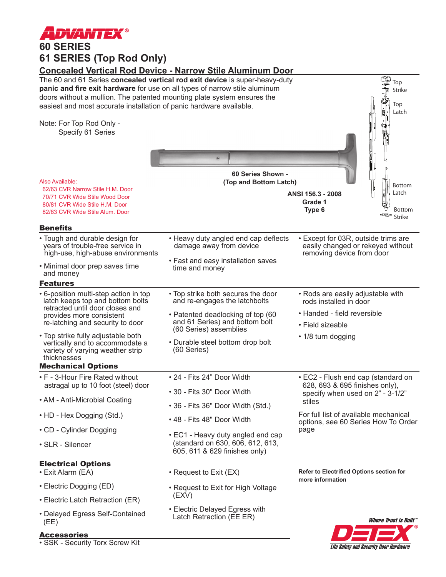

**61 SERIES (Top Rod Only)**

**Concealed Vertical Rod Device - Narrow Stile Aluminum Door**



• SSK - Security Torx Screw Kit

**Life Safety and Security Door Hardware**